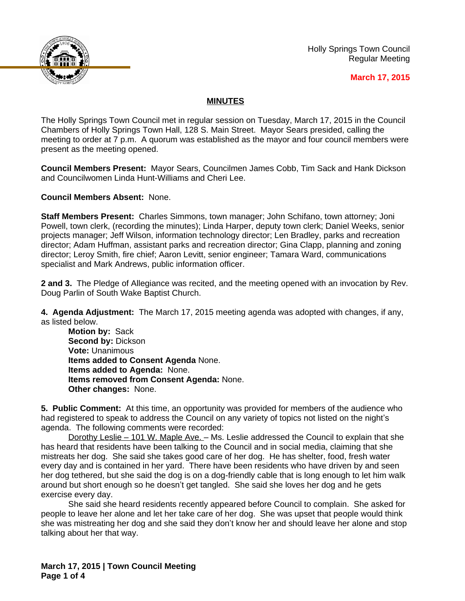

Holly Springs Town Council Regular Meeting

## **March 17, 2015**

## **MINUTES**

The Holly Springs Town Council met in regular session on Tuesday, March 17, 2015 in the Council Chambers of Holly Springs Town Hall, 128 S. Main Street. Mayor Sears presided, calling the meeting to order at 7 p.m. A quorum was established as the mayor and four council members were present as the meeting opened.

**Council Members Present:** Mayor Sears, Councilmen James Cobb, Tim Sack and Hank Dickson and Councilwomen Linda Hunt-Williams and Cheri Lee.

**Council Members Absent:** None.

**Staff Members Present:** Charles Simmons, town manager; John Schifano, town attorney; Joni Powell, town clerk, (recording the minutes); Linda Harper, deputy town clerk; Daniel Weeks, senior projects manager; Jeff Wilson, information technology director; Len Bradley, parks and recreation director; Adam Huffman, assistant parks and recreation director; Gina Clapp, planning and zoning director; Leroy Smith, fire chief; Aaron Levitt, senior engineer; Tamara Ward, communications specialist and Mark Andrews, public information officer.

**2 and 3.** The Pledge of Allegiance was recited, and the meeting opened with an invocation by Rev. Doug Parlin of South Wake Baptist Church.

**4. Agenda Adjustment:** The March 17, 2015 meeting agenda was adopted with changes, if any, as listed below.

**Motion by:** Sack **Second by:** Dickson **Vote:** Unanimous **Items added to Consent Agenda** None. **Items added to Agenda:** None. **Items removed from Consent Agenda:** None. **Other changes:** None.

**5. Public Comment:** At this time, an opportunity was provided for members of the audience who had registered to speak to address the Council on any variety of topics not listed on the night's agenda. The following comments were recorded:

Dorothy Leslie - 101 W. Maple Ave. - Ms. Leslie addressed the Council to explain that she has heard that residents have been talking to the Council and in social media, claiming that she mistreats her dog. She said she takes good care of her dog. He has shelter, food, fresh water every day and is contained in her yard. There have been residents who have driven by and seen her dog tethered, but she said the dog is on a dog-friendly cable that is long enough to let him walk around but short enough so he doesn't get tangled. She said she loves her dog and he gets exercise every day.

She said she heard residents recently appeared before Council to complain. She asked for people to leave her alone and let her take care of her dog. She was upset that people would think she was mistreating her dog and she said they don't know her and should leave her alone and stop talking about her that way.

**March 17, 2015 | Town Council Meeting Page 1 of 4**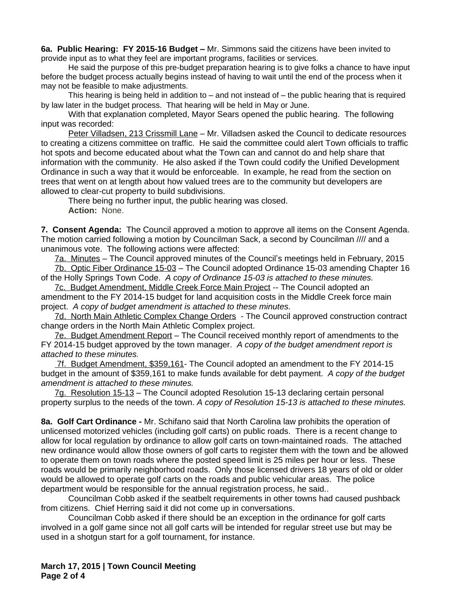**6a. Public Hearing: FY 2015-16 Budget –** Mr. Simmons said the citizens have been invited to provide input as to what they feel are important programs, facilities or services.

He said the purpose of this pre-budget preparation hearing is to give folks a chance to have input before the budget process actually begins instead of having to wait until the end of the process when it may not be feasible to make adjustments.

This hearing is being held in addition to – and not instead of – the public hearing that is required by law later in the budget process. That hearing will be held in May or June.

With that explanation completed, Mayor Sears opened the public hearing. The following input was recorded:

Peter Villadsen, 213 Crissmill Lane - Mr. Villadsen asked the Council to dedicate resources to creating a citizens committee on traffic. He said the committee could alert Town officials to traffic hot spots and become educated about what the Town can and cannot do and help share that information with the community. He also asked if the Town could codify the Unified Development Ordinance in such a way that it would be enforceable. In example, he read from the section on trees that went on at length about how valued trees are to the community but developers are allowed to clear-cut property to build subdivisions.

There being no further input, the public hearing was closed. **Action:** None.

**7. Consent Agenda:** The Council approved a motion to approve all items on the Consent Agenda. The motion carried following a motion by Councilman Sack, a second by Councilman //// and a unanimous vote. The following actions were affected:

7a. Minutes – The Council approved minutes of the Council's meetings held in February, 2015 7b. Optic Fiber Ordinance 15-03 – The Council adopted Ordinance 15-03 amending Chapter 16 of the Holly Springs Town Code. *A copy of Ordinance 15-03 is attached to these minutes.*

7c. Budget Amendment, Middle Creek Force Main Project -- The Council adopted an amendment to the FY 2014-15 budget for land acquisition costs in the Middle Creek force main project. *A copy of budget amendment is attached to these minutes.*

7d. North Main Athletic Complex Change Orders - The Council approved construction contract change orders in the North Main Athletic Complex project.

7e. Budget Amendment Report – The Council received monthly report of amendments to the FY 2014-15 budget approved by the town manager. *A copy of the budget amendment report is attached to these minutes.*

 7f. Budget Amendment, \$359,161- The Council adopted an amendment to the FY 2014-15 budget in the amount of \$359,161 to make funds available for debt payment. *A copy of the budget amendment is attached to these minutes.*

7g. Resolution 15-13 – The Council adopted Resolution 15-13 declaring certain personal property surplus to the needs of the town. *A copy of Resolution 15-13 is attached to these minutes.*

**8a. Golf Cart Ordinance -** Mr. Schifano said that North Carolina law prohibits the operation of unlicensed motorized vehicles (including golf carts) on public roads. There is a recent change to allow for local regulation by ordinance to allow golf carts on town-maintained roads. The attached new ordinance would allow those owners of golf carts to register them with the town and be allowed to operate them on town roads where the posted speed limit is 25 miles per hour or less. These roads would be primarily neighborhood roads. Only those licensed drivers 18 years of old or older would be allowed to operate golf carts on the roads and public vehicular areas. The police department would be responsible for the annual registration process, he said..

Councilman Cobb asked if the seatbelt requirements in other towns had caused pushback from citizens. Chief Herring said it did not come up in conversations.

Councilman Cobb asked if there should be an exception in the ordinance for golf carts involved in a golf game since not all golf carts will be intended for regular street use but may be used in a shotgun start for a golf tournament, for instance.

**March 17, 2015 | Town Council Meeting Page 2 of 4**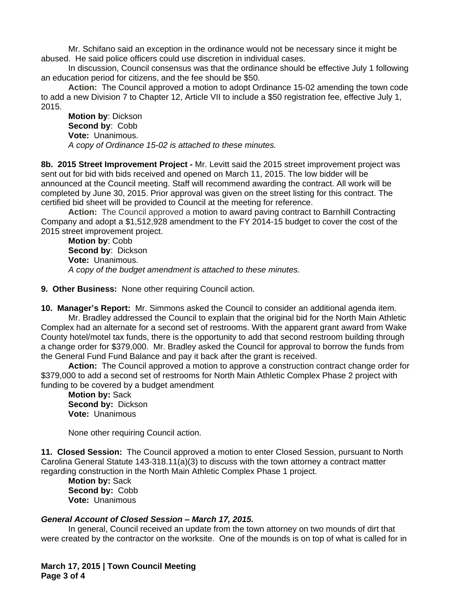Mr. Schifano said an exception in the ordinance would not be necessary since it might be abused. He said police officers could use discretion in individual cases.

In discussion, Council consensus was that the ordinance should be effective July 1 following an education period for citizens, and the fee should be \$50.

**Action:** The Council approved a motion to adopt Ordinance 15-02 amending the town code to add a new Division 7 to Chapter 12, Article VII to include a \$50 registration fee, effective July 1, 2015.

**Motion by**: Dickson **Second by**: Cobb **Vote:** Unanimous. *A copy of Ordinance 15-02 is attached to these minutes.*

**8b. 2015 Street Improvement Project -** Mr. Levitt said the 2015 street improvement project was sent out for bid with bids received and opened on March 11, 2015. The low bidder will be announced at the Council meeting. Staff will recommend awarding the contract. All work will be completed by June 30, 2015. Prior approval was given on the street listing for this contract. The certified bid sheet will be provided to Council at the meeting for reference.

**Action:** The Council approved a motion to award paving contract to Barnhill Contracting Company and adopt a \$1,512,928 amendment to the FY 2014-15 budget to cover the cost of the 2015 street improvement project.

**Motion by**: Cobb **Second by**: Dickson **Vote:** Unanimous. *A copy of the budget amendment is attached to these minutes.*

**9. Other Business:** None other requiring Council action.

**10. Manager's Report:** Mr. Simmons asked the Council to consider an additional agenda item.

Mr. Bradley addressed the Council to explain that the original bid for the North Main Athletic Complex had an alternate for a second set of restrooms. With the apparent grant award from Wake County hotel/motel tax funds, there is the opportunity to add that second restroom building through a change order for \$379,000. Mr. Bradley asked the Council for approval to borrow the funds from the General Fund Fund Balance and pay it back after the grant is received.

**Action:** The Council approved a motion to approve a construction contract change order for \$379,000 to add a second set of restrooms for North Main Athletic Complex Phase 2 project with funding to be covered by a budget amendment

**Motion by:** Sack **Second by:** Dickson **Vote:** Unanimous

None other requiring Council action.

**11. Closed Session:** The Council approved a motion to enter Closed Session, pursuant to North Carolina General Statute 143-318.11(a)(3) to discuss with the town attorney a contract matter regarding construction in the North Main Athletic Complex Phase 1 project.

**Motion by:** Sack **Second by:** Cobb **Vote:** Unanimous

## *General Account of Closed Session – March 17, 2015.*

In general, Council received an update from the town attorney on two mounds of dirt that were created by the contractor on the worksite. One of the mounds is on top of what is called for in

**March 17, 2015 | Town Council Meeting Page 3 of 4**